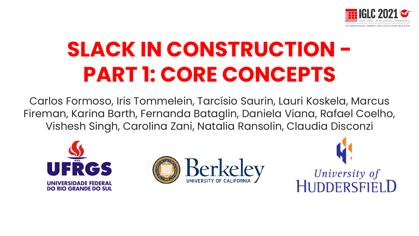

# **SLACK IN CONSTRUCTION - PART 1: CORE CONCEPTS**

Carlos Formoso, Iris Tommelein, Tarcísio Saurin, Lauri Koskela, Marcus Fireman, Karina Barth, Fernanda Bataglin, Daniela Viana, Rafael Coelho, Vishesh Singh, Carolina Zani, Natalia Ransolin, Claudia Disconzi





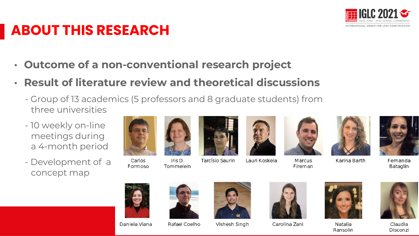

#### **ABOUT THIS RESEARCH**

- **Outcome of a non-conventional research project**
- **Result of literature review and theoretical discussions** 
	- Group of 13 academics (5 professors and 8 graduate students) from three universities
	- 10 weekly on-line meetings during a 4-month period
	- Development of a concept map



Iris D. Tommelein



Lauri Koskela



Marcus



Karina Barth



Fernanda Bataglin



Carlos

Formoso



Rafael Coelho



Vishesh Singh



Carolina Zani





Claudia Disconzi





Fireman





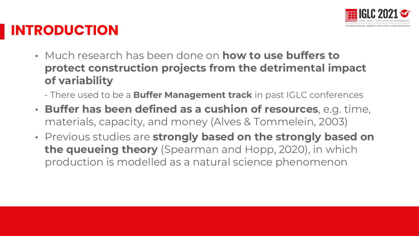

#### **INTRODUCTION**

- Much research has been done on **how to use buffers to protect construction projects from the detrimental impact of variability**
	- There used to be a **Buffer Management track** in past IGLC conferences
- **Buffer has been defined as a cushion of resources**, e.g. time, materials, capacity, and money (Alves & Tommelein, 2003)
- Previous studies are **strongly based on the strongly based on the queueing theory** (Spearman and Hopp, 2020), in which production is modelled as a natural science phenomenon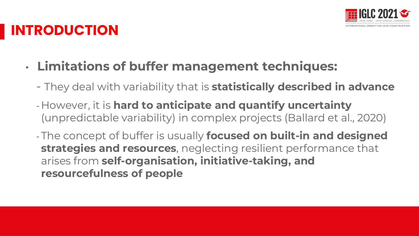

#### **INTRODUCTION**

- **Limitations of buffer management techniques:**
	- They deal with variability that is **statistically described in advance**
	- However, it is **hard to anticipate and quantify uncertainty**  (unpredictable variability) in complex projects (Ballard et al., 2020)
	- The concept of buffer is usually **focused on built-in and designed strategies and resources**, neglecting resilient performance that arises from **self-organisation, initiative-taking, and resourcefulness of people**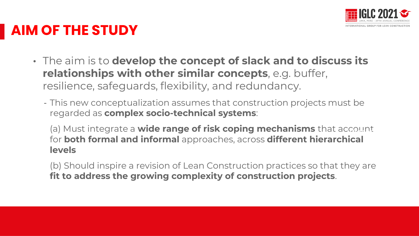

# **AIM OF THE STUDY**

- The aim is to **develop the concept of slack and to discuss its relationships with other similar concepts**, e.g. buffer, resilience, safeguards, flexibility, and redundancy.
	- This new conceptualization assumes that construction projects must be regarded as **complex socio-technical systems**:
		- (a) Must integrate a **wide range of risk coping mechanisms** that account **Presentación** for **both formal and informal** approaches, across **different hierarchical levels**
		- (b) Should inspire a revision of Lean Construction practices so that they are **fit to address the growing complexity of construction projects**.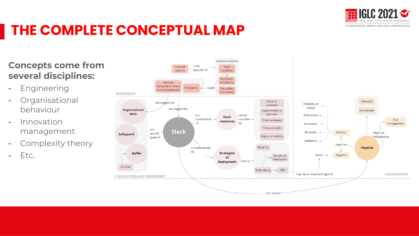

# **THE COMPLETE CONCEPTUAL MAP**

#### **Concepts come from several disciplines:**

- Engineering
- Organisational behaviour
- Innovation management
- Complexity theory
- Etc.

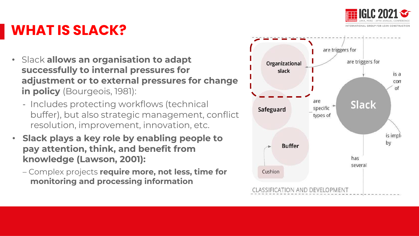

#### **WHAT IS SLACK?**

- Slack **allows an organisation to adapt successfully to internal pressures for adjustment or to external pressures for change in policy** (Bourgeois, 1981):
	- Includes protecting workflows (technical buffer), but also strategic management, conflict resolution, improvement, innovation, etc.
- **Slack plays a key role by enabling people to pay attention, think, and benefit from knowledge (Lawson, 2001):** 
	- Complex projects **require more, not less, time for monitoring and processing information**

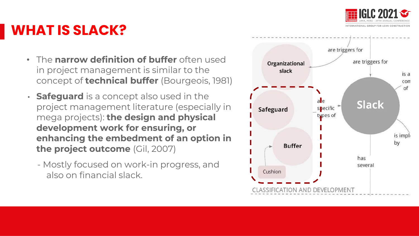

#### **WHAT IS SLACK?**

- The **narrow definition of buffer** often used in project management is similar to the concept of **technical buffer** (Bourgeois, 1981)
- **Safeguard** is a concept also used in the project management literature (especially in mega projects): **the design and physical development work for ensuring, or enhancing the embedment of an option in the project outcome** (Gil, 2007)
	- Mostly focused on work-in progress, and also on financial slack.

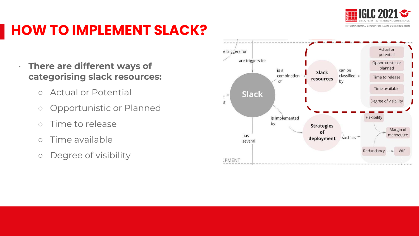

# **HOW TO IMPLEMENT SLACK?**

#### • **There are different ways of categorising slack resources:**

- Actual or Potential
- Opportunistic or Planned
- Time to release
- Time available
- Degree of visibility

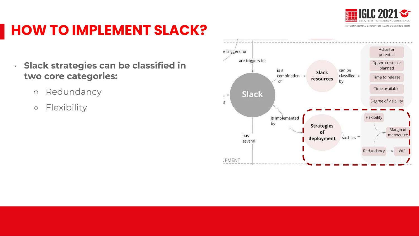

# **HOW TO IMPLEMENT SLACK?**

• **Slack strategies can be classified in two core categories:** 

- Redundancy
- Flexibility

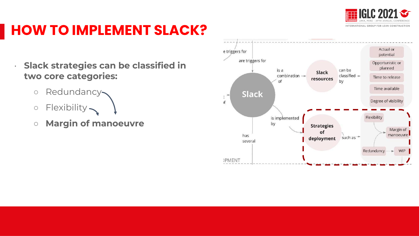

# **HOW TO IMPLEMENT SLACK?**

• **Slack strategies can be classified in two core categories:** 

- o Redundancy
- o Flexibility
- **Margin of manoeuvre**

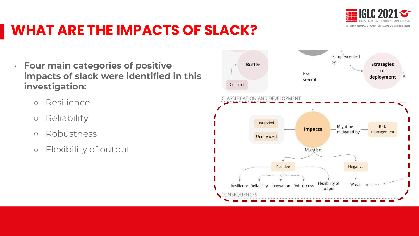

- Resilience
- Reliability
- Robustness
- Flexibility of output

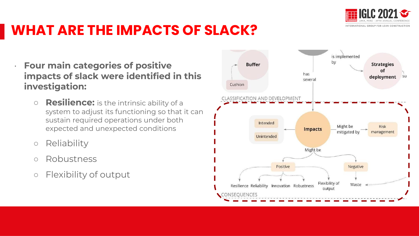

- **Resilience:** is the intrinsic ability of a system to adjust its functioning so that it can sustain required operations under both expected and unexpected conditions
- Reliability
- Robustness
- Flexibility of output

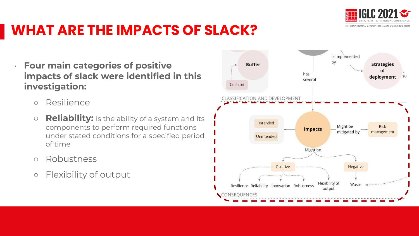

- Resilience
- **Reliability:** is the ability of a system and its components to perform required functions under stated conditions for a specified period of time
- Robustness
- Flexibility of output

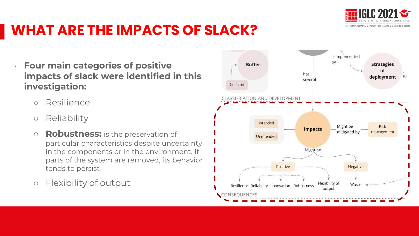

- Resilience
- Reliability
- **Robustness:** is the preservation of particular characteristics despite uncertainty in the components or in the environment. If parts of the system are removed, its behavior tends to persist
- Flexibility of output

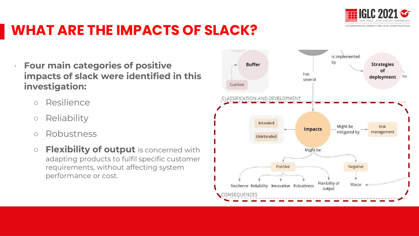

- Resilience
- Reliability
- Robustness
- **Flexibility of output** is concerned with adapting products to fulfil specific customer requirements, without affecting system performance or cost.

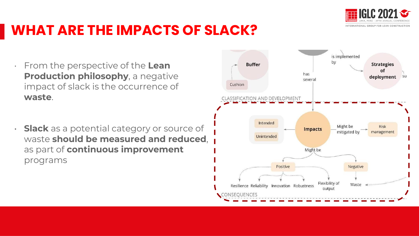

- From the perspective of the **Lean Production philosophy**, a negative impact of slack is the occurrence of **waste**.
- **Slack** as a potential category or source of waste **should be measured and reduced**, as part of **continuous improvement** programs

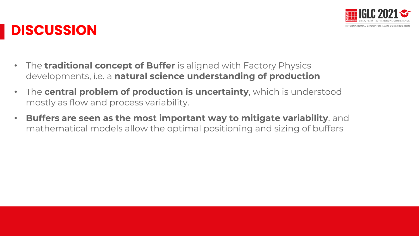

#### **DISCUSSION**

- The **traditional concept of Buffer** is aligned with Factory Physics developments, i.e. a **natural science understanding of production**
- The **central problem of production is uncertainty**, which is understood mostly as flow and process variability.
- **Buffers are seen as the most important way to mitigate variability**, and mathematical models allow the optimal positioning and sizing of buffers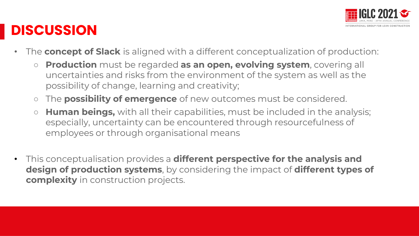

#### **DISCUSSION**

- The **concept of Slack** is aligned with a different conceptualization of production:
	- **Production** must be regarded **as an open, evolving system**, covering all uncertainties and risks from the environment of the system as well as the possibility of change, learning and creativity;
	- The **possibility of emergence** of new outcomes must be considered.
	- **Human beings,** with all their capabilities, must be included in the analysis; especially, uncertainty can be encountered through resourcefulness of employees or through organisational means
- This conceptualisation provides a **different perspective for the analysis and design of production systems**, by considering the impact of **different types of complexity** in construction projects.